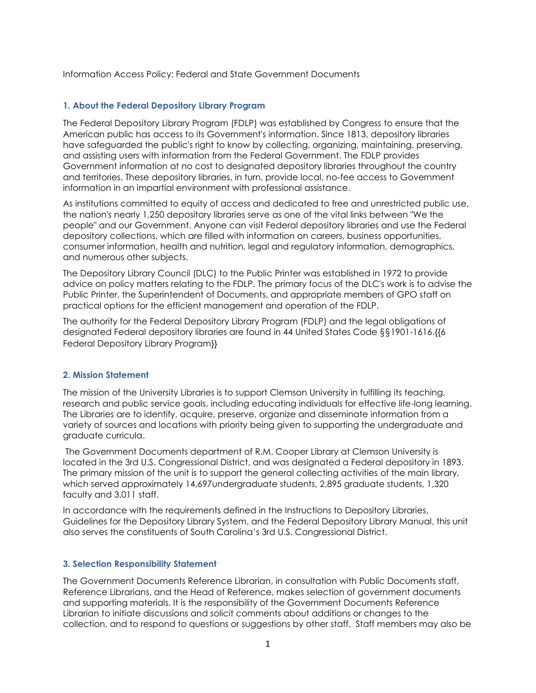### Information Access Policy: Federal and State Government Documents

### **1. About the Federal Depository Library Program**

The Federal Depository Library Program (FDLP) was established by Congress to ensure that the American public has access to its Government's information. Since 1813, depository libraries have safeguarded the public's right to know by collecting, organizing, maintaining, preserving, and assisting users with information from the Federal Government. The FDLP provides Government information at no cost to designated depository libraries throughout the country and territories. These depository libraries, in turn, provide local, no-fee access to Government information in an impartial environment with professional assistance.

As institutions committed to equity of access and dedicated to free and unrestricted public use, the nation's nearly 1,250 depository libraries serve as one of the vital links between "We the people" and our Government. Anyone can visit Federal depository libraries and use the Federal depository collections, which are filled with information on careers, business opportunities, consumer information, health and nutrition, legal and regulatory information, demographics, and numerous other subjects.

The Depository Library Council (DLC) to the Public Printer was established in 1972 to provide advice on policy matters relating to the FDLP. The primary focus of the DLC's work is to advise the Public Printer, the Superintendent of Documents, and appropriate members of GPO staff on practical options for the efficient management and operation of the FDLP.

The authority for the Federal Depository Library Program (FDLP) and the legal obligations of designated Federal depository libraries are found in 44 United States Code §§1901‐1616.{{6 Federal Depository Library Program}}

#### **2. Mission Statement**

The mission of the University Libraries is to support Clemson University in fulfilling its teaching, research and public service goals, including educating individuals for effective life-long learning. The Libraries are to identify, acquire, preserve, organize and disseminate information from a variety of sources and locations with priority being given to supporting the undergraduate and graduate curricula.

The Government Documents department of R.M. Cooper Library at Clemson University is located in the 3rd U.S. Congressional District, and was designated a Federal depository in 1893. The primary mission of the unit is to support the general collecting activities of the main library, which served approximately 14,697undergraduate students, 2,895 graduate students, 1,320 faculty and 3,011 staff.

In accordance with the requirements defined in the Instructions to Depository Libraries, Guidelines for the Depository Library System, and the Federal Depository Library Manual, this unit also serves the constituents of South Carolina's 3rd U.S. Congressional District.

#### **3. Selection Responsibility Statement**

The Government Documents Reference Librarian, in consultation with Public Documents staff, Reference Librarians, and the Head of Reference, makes selection of government documents and supporting materials. It is the responsibility of the Government Documents Reference Librarian to initiate discussions and solicit comments about additions or changes to the collection, and to respond to questions or suggestions by other staff. Staff members may also be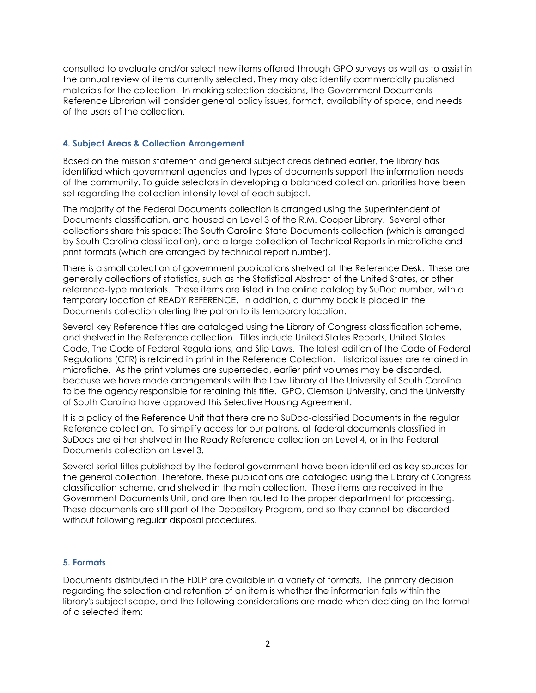consulted to evaluate and/or select new items offered through GPO surveys as well as to assist in the annual review of items currently selected. They may also identify commercially published materials for the collection. In making selection decisions, the Government Documents Reference Librarian will consider general policy issues, format, availability of space, and needs of the users of the collection.

# **4. Subject Areas & Collection Arrangement**

Based on the mission statement and general subject areas defined earlier, the library has identified which government agencies and types of documents support the information needs of the community. To guide selectors in developing a balanced collection, priorities have been set regarding the collection intensity level of each subject.

The majority of the Federal Documents collection is arranged using the Superintendent of Documents classification, and housed on Level 3 of the R.M. Cooper Library. Several other collections share this space: The South Carolina State Documents collection (which is arranged by South Carolina classification), and a large collection of Technical Reports in microfiche and print formats (which are arranged by technical report number).

There is a small collection of government publications shelved at the Reference Desk. These are generally collections of statistics, such as the Statistical Abstract of the United States, or other reference-type materials. These items are listed in the online catalog by SuDoc number, with a temporary location of READY REFERENCE. In addition, a dummy book is placed in the Documents collection alerting the patron to its temporary location.

Several key Reference titles are cataloged using the Library of Congress classification scheme, and shelved in the Reference collection. Titles include United States Reports, United States Code, The Code of Federal Regulations, and Slip Laws. The latest edition of the Code of Federal Regulations (CFR) is retained in print in the Reference Collection. Historical issues are retained in microfiche. As the print volumes are superseded, earlier print volumes may be discarded, because we have made arrangements with the Law Library at the University of South Carolina to be the agency responsible for retaining this title. GPO, Clemson University, and the University of South Carolina have approved this Selective Housing Agreement.

It is a policy of the Reference Unit that there are no SuDoc-classified Documents in the regular Reference collection. To simplify access for our patrons, all federal documents classified in SuDocs are either shelved in the Ready Reference collection on Level 4, or in the Federal Documents collection on Level 3.

Several serial titles published by the federal government have been identified as key sources for the general collection. Therefore, these publications are cataloged using the Library of Congress classification scheme, and shelved in the main collection. These items are received in the Government Documents Unit, and are then routed to the proper department for processing. These documents are still part of the Depository Program, and so they cannot be discarded without following regular disposal procedures.

## **5. Formats**

Documents distributed in the FDLP are available in a variety of formats. The primary decision regarding the selection and retention of an item is whether the information falls within the library's subject scope, and the following considerations are made when deciding on the format of a selected item: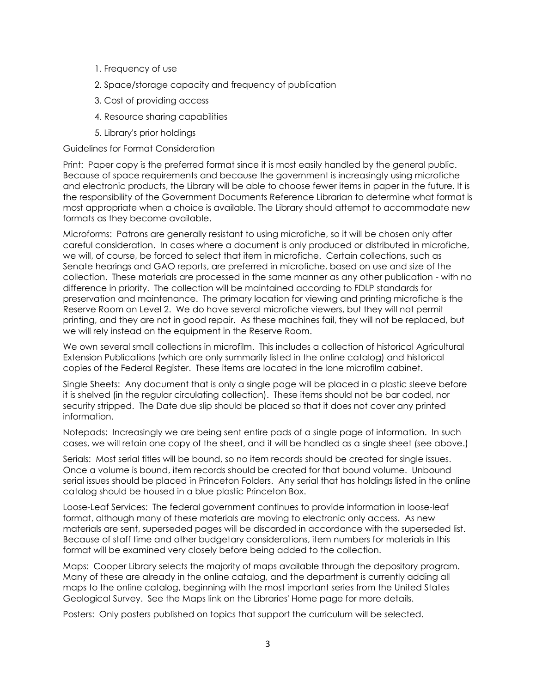- 1. Frequency of use
- 2. Space/storage capacity and frequency of publication
- 3. Cost of providing access
- 4. Resource sharing capabilities
- 5. Library's prior holdings

Guidelines for Format Consideration

Print: Paper copy is the preferred format since it is most easily handled by the general public. Because of space requirements and because the government is increasingly using microfiche and electronic products, the Library will be able to choose fewer items in paper in the future. It is the responsibility of the Government Documents Reference Librarian to determine what format is most appropriate when a choice is available. The Library should attempt to accommodate new formats as they become available.

Microforms: Patrons are generally resistant to using microfiche, so it will be chosen only after careful consideration. In cases where a document is only produced or distributed in microfiche, we will, of course, be forced to select that item in microfiche. Certain collections, such as Senate hearings and GAO reports, are preferred in microfiche, based on use and size of the collection. These materials are processed in the same manner as any other publication - with no difference in priority. The collection will be maintained according to FDLP standards for preservation and maintenance. The primary location for viewing and printing microfiche is the Reserve Room on Level 2. We do have several microfiche viewers, but they will not permit printing, and they are not in good repair. As these machines fail, they will not be replaced, but we will rely instead on the equipment in the Reserve Room.

We own several small collections in microfilm. This includes a collection of historical Agricultural Extension Publications (which are only summarily listed in the online catalog) and historical copies of the Federal Register. These items are located in the lone microfilm cabinet.

Single Sheets: Any document that is only a single page will be placed in a plastic sleeve before it is shelved (in the regular circulating collection). These items should not be bar coded, nor security stripped. The Date due slip should be placed so that it does not cover any printed information.

Notepads: Increasingly we are being sent entire pads of a single page of information. In such cases, we will retain one copy of the sheet, and it will be handled as a single sheet (see above.)

Serials: Most serial titles will be bound, so no item records should be created for single issues. Once a volume is bound, item records should be created for that bound volume. Unbound serial issues should be placed in Princeton Folders. Any serial that has holdings listed in the online catalog should be housed in a blue plastic Princeton Box.

Loose-Leaf Services: The federal government continues to provide information in loose-leaf format, although many of these materials are moving to electronic only access. As new materials are sent, superseded pages will be discarded in accordance with the superseded list. Because of staff time and other budgetary considerations, item numbers for materials in this format will be examined very closely before being added to the collection.

Maps: Cooper Library selects the majority of maps available through the depository program. Many of these are already in the online catalog, and the department is currently adding all maps to the online catalog, beginning with the most important series from the United States Geological Survey. See the Maps link on the Libraries' Home page for more details.

Posters: Only posters published on topics that support the curriculum will be selected.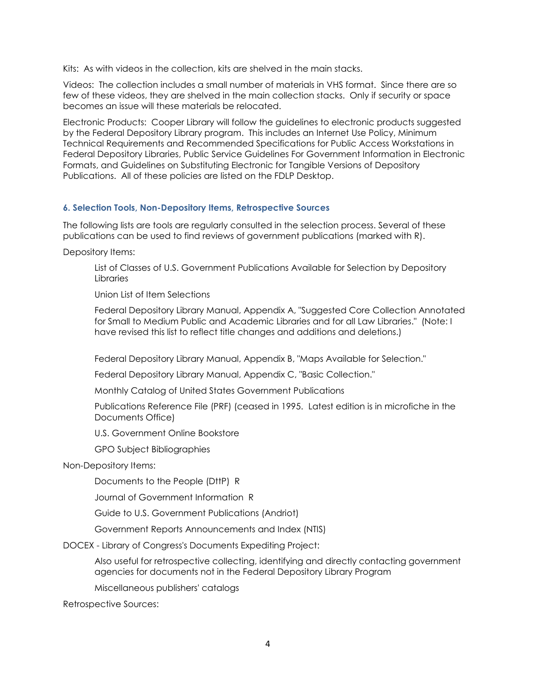Kits: As with videos in the collection, kits are shelved in the main stacks.

Videos: The collection includes a small number of materials in VHS format. Since there are so few of these videos, they are shelved in the main collection stacks. Only if security or space becomes an issue will these materials be relocated.

Electronic Products: Cooper Library will follow the guidelines to electronic products suggested by the Federal Depository Library program. This includes an Internet Use Policy, Minimum Technical Requirements and Recommended Specifications for Public Access Workstations in Federal Depository Libraries, Public Service Guidelines For Government Information in Electronic Formats, and Guidelines on Substituting Electronic for Tangible Versions of Depository Publications. All of these policies are listed on the FDLP Desktop.

## **6. Selection Tools, Non-Depository Items, Retrospective Sources**

The following lists are tools are regularly consulted in the selection process. Several of these publications can be used to find reviews of government publications (marked with R).

Depository Items:

List of Classes of U.S. Government Publications Available for Selection by Depository **Libraries** 

Union List of Item Selections

Federal Depository Library Manual, Appendix A, "Suggested Core Collection Annotated for Small to Medium Public and Academic Libraries and for all Law Libraries." (Note: I have revised this list to reflect title changes and additions and deletions.)

Federal Depository Library Manual, Appendix B, "Maps Available for Selection."

Federal Depository Library Manual, Appendix C, "Basic Collection."

Monthly Catalog of United States Government Publications

Publications Reference File (PRF) (ceased in 1995. Latest edition is in microfiche in the Documents Office)

U.S. Government Online Bookstore

GPO Subject Bibliographies

Non-Depository Items:

Documents to the People (DttP) R

Journal of Government Information R

Guide to U.S. Government Publications (Andriot)

Government Reports Announcements and Index (NTIS)

DOCEX - Library of Congress's Documents Expediting Project:

Also useful for retrospective collecting, identifying and directly contacting government agencies for documents not in the Federal Depository Library Program

Miscellaneous publishers' catalogs

Retrospective Sources: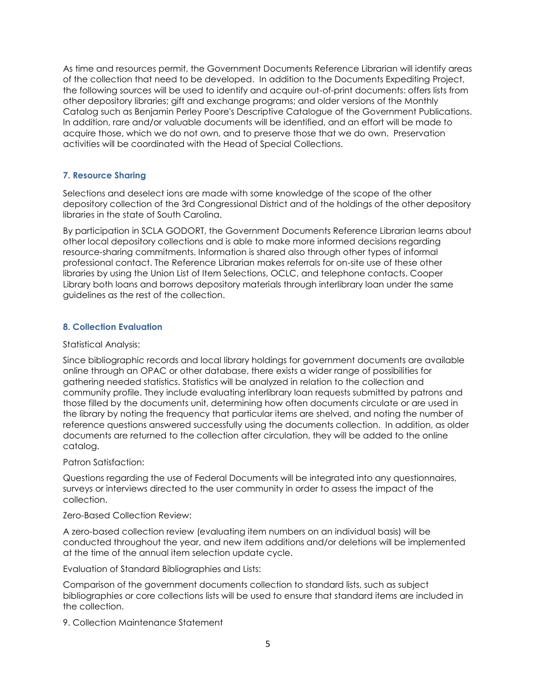As time and resources permit, the Government Documents Reference Librarian will identify areas of the collection that need to be developed. In addition to the Documents Expediting Project, the following sources will be used to identify and acquire out-of-print documents: offers lists from other depository libraries; gift and exchange programs; and older versions of the Monthly Catalog such as Benjamin Perley Poore's Descriptive Catalogue of the Government Publications. In addition, rare and/or valuable documents will be identified, and an effort will be made to acquire those, which we do not own, and to preserve those that we do own. Preservation activities will be coordinated with the Head of Special Collections.

# **7. Resource Sharing**

Selections and deselect ions are made with some knowledge of the scope of the other depository collection of the 3rd Congressional District and of the holdings of the other depository libraries in the state of South Carolina.

By participation in SCLA GODORT, the Government Documents Reference Librarian learns about other local depository collections and is able to make more informed decisions regarding resource-sharing commitments. Information is shared also through other types of informal professional contact. The Reference Librarian makes referrals for on-site use of these other libraries by using the Union List of Item Selections, OCLC, and telephone contacts. Cooper Library both loans and borrows depository materials through interlibrary loan under the same guidelines as the rest of the collection.

# **8. Collection Evaluation**

### Statistical Analysis:

Since bibliographic records and local library holdings for government documents are available online through an OPAC or other database, there exists a wider range of possibilities for gathering needed statistics. Statistics will be analyzed in relation to the collection and community profile. They include evaluating interlibrary loan requests submitted by patrons and those filled by the documents unit, determining how often documents circulate or are used in the library by noting the frequency that particular items are shelved, and noting the number of reference questions answered successfully using the documents collection. In addition, as older documents are returned to the collection after circulation, they will be added to the online catalog.

## Patron Satisfaction:

Questions regarding the use of Federal Documents will be integrated into any questionnaires, surveys or interviews directed to the user community in order to assess the impact of the collection.

### Zero-Based Collection Review:

A zero-based collection review (evaluating item numbers on an individual basis) will be conducted throughout the year, and new item additions and/or deletions will be implemented at the time of the annual item selection update cycle.

Evaluation of Standard Bibliographies and Lists:

Comparison of the government documents collection to standard lists, such as subject bibliographies or core collections lists will be used to ensure that standard items are included in the collection.

9. Collection Maintenance Statement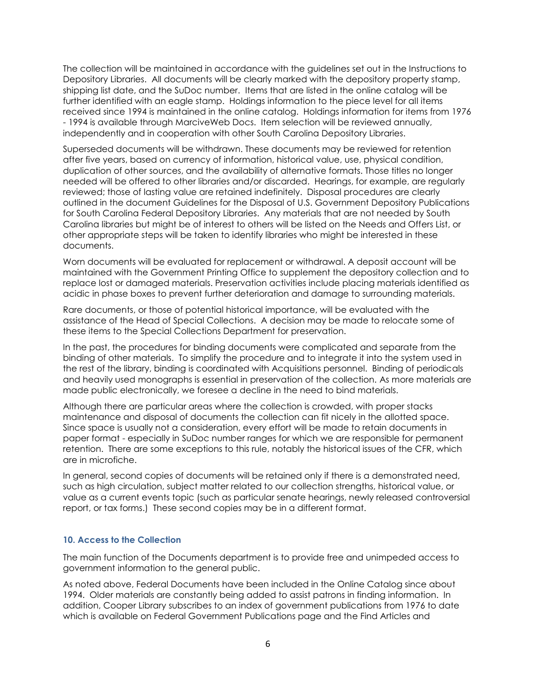The collection will be maintained in accordance with the guidelines set out in the Instructions to Depository Libraries. All documents will be clearly marked with the depository property stamp, shipping list date, and the SuDoc number. Items that are listed in the online catalog will be further identified with an eagle stamp. Holdings information to the piece level for all items received since 1994 is maintained in the online catalog. Holdings information for items from 1976 - 1994 is available through MarciveWeb Docs. Item selection will be reviewed annually, independently and in cooperation with other South Carolina Depository Libraries.

Superseded documents will be withdrawn. These documents may be reviewed for retention after five years, based on currency of information, historical value, use, physical condition, duplication of other sources, and the availability of alternative formats. Those titles no longer needed will be offered to other libraries and/or discarded. Hearings, for example, are regularly reviewed; those of lasting value are retained indefinitely. Disposal procedures are clearly outlined in the document Guidelines for the Disposal of U.S. Government Depository Publications for South Carolina Federal Depository Libraries. Any materials that are not needed by South Carolina libraries but might be of interest to others will be listed on the Needs and Offers List, or other appropriate steps will be taken to identify libraries who might be interested in these documents.

Worn documents will be evaluated for replacement or withdrawal. A deposit account will be maintained with the Government Printing Office to supplement the depository collection and to replace lost or damaged materials. Preservation activities include placing materials identified as acidic in phase boxes to prevent further deterioration and damage to surrounding materials.

Rare documents, or those of potential historical importance, will be evaluated with the assistance of the Head of Special Collections. A decision may be made to relocate some of these items to the Special Collections Department for preservation.

In the past, the procedures for binding documents were complicated and separate from the binding of other materials. To simplify the procedure and to integrate it into the system used in the rest of the library, binding is coordinated with Acquisitions personnel. Binding of periodicals and heavily used monographs is essential in preservation of the collection. As more materials are made public electronically, we foresee a decline in the need to bind materials.

Although there are particular areas where the collection is crowded, with proper stacks maintenance and disposal of documents the collection can fit nicely in the allotted space. Since space is usually not a consideration, every effort will be made to retain documents in paper format - especially in SuDoc number ranges for which we are responsible for permanent retention. There are some exceptions to this rule, notably the historical issues of the CFR, which are in microfiche.

In general, second copies of documents will be retained only if there is a demonstrated need, such as high circulation, subject matter related to our collection strengths, historical value, or value as a current events topic (such as particular senate hearings, newly released controversial report, or tax forms.) These second copies may be in a different format.

# **10. Access to the Collection**

The main function of the Documents department is to provide free and unimpeded access to government information to the general public.

As noted above, Federal Documents have been included in the Online Catalog since about 1994. Older materials are constantly being added to assist patrons in finding information. In addition, Cooper Library subscribes to an index of government publications from 1976 to date which is available on Federal Government Publications page and the Find Articles and